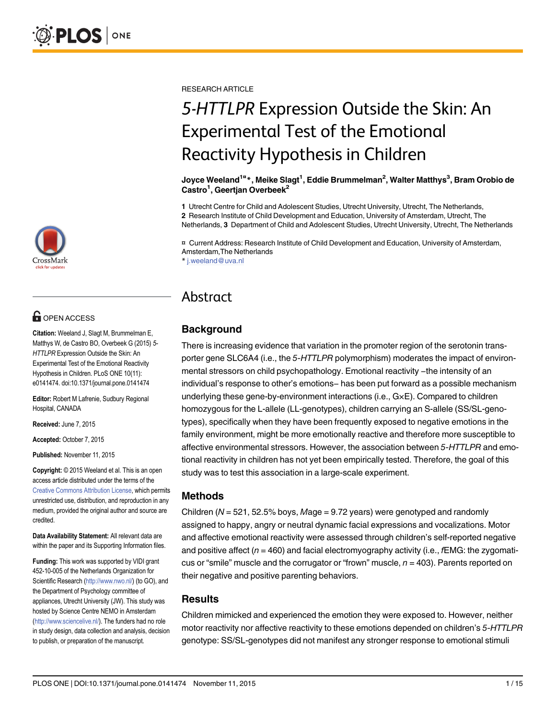

# **OPEN ACCESS**

Citation: Weeland J, Slagt M, Brummelman E, Matthys W, de Castro BO, Overbeek G (2015) 5- HTTLPR Expression Outside the Skin: An Experimental Test of the Emotional Reactivity Hypothesis in Children. PLoS ONE 10(11): e0141474. doi:10.1371/journal.pone.0141474

Editor: Robert M Lafrenie, Sudbury Regional Hospital, CANADA

Received: June 7, 2015

Accepted: October 7, 2015

Published: November 11, 2015

Copyright: © 2015 Weeland et al. This is an open access article distributed under the terms of the [Creative Commons Attribution License,](http://creativecommons.org/licenses/by/4.0/) which permits unrestricted use, distribution, and reproduction in any medium, provided the original author and source are credited.

Data Availability Statement: All relevant data are within the paper and its Supporting Information files.

Funding: This work was supported by VIDI grant 452-10-005 of the Netherlands Organization for Scientific Research ([http://www.nwo.nl/\)](http://www.nwo.nl/) (to GO), and the Department of Psychology committee of appliances, Utrecht University (JW). This study was hosted by Science Centre NEMO in Amsterdam [\(http://www.sciencelive.nl/\)](http://www.sciencelive.nl/). The funders had no role in study design, data collection and analysis, decision to publish, or preparation of the manuscript.

RESEARCH ARTICLE

# 5-HTTLPR Expression Outside the Skin: An Experimental Test of the Emotional Reactivity Hypothesis in Children

Joyce Weeland<sup>1¤</sup>\*, Meike Slagt<sup>1</sup>, Eddie Brummelman<sup>2</sup>, Walter Matthys<sup>3</sup>, Bram Orobio de Castro<sup>1</sup>, Geertjan Overbeek<sup>2</sup>

1 Utrecht Centre for Child and Adolescent Studies, Utrecht University, Utrecht, The Netherlands, 2 Research Institute of Child Development and Education, University of Amsterdam, Utrecht, The

Netherlands, 3 Department of Child and Adolescent Studies, Utrecht University, Utrecht, The Netherlands

¤ Current Address: Research Institute of Child Development and Education, University of Amsterdam, Amsterdam,The Netherlands

\* j.weeland@uva.nl

# Abstract

# **Background**

There is increasing evidence that variation in the promoter region of the serotonin transporter gene SLC6A4 (i.e., the 5-HTTLPR polymorphism) moderates the impact of environ-There is increasing evidence that variation in the promoter region of the serotonin tra<br>porter gene SLC6A4 (i.e., the 5-*HTTLPR* polymorphism) moderates the impact of er<br>mental stressors on child psychopathology. Emotiona mental stressors on child psychopathology. Emotional reactivity –the intensity of an<br>individual's response to other's emotions− has been put forward as a possible mechanism underlying these gene-by-environment interactions (i.e., G×E). Compared to children homozygous for the L-allele (LL-genotypes), children carrying an S-allele (SS/SL-genotypes), specifically when they have been frequently exposed to negative emotions in the family environment, might be more emotionally reactive and therefore more susceptible to affective environmental stressors. However, the association between 5-HTTLPR and emotional reactivity in children has not yet been empirically tested. Therefore, the goal of this study was to test this association in a large-scale experiment.

# Methods

Children ( $N = 521$ , 52.5% boys, Mage = 9.72 years) were genotyped and randomly assigned to happy, angry or neutral dynamic facial expressions and vocalizations. Motor and affective emotional reactivity were assessed through children's self-reported negative and positive affect ( $n = 460$ ) and facial electromyography activity (i.e.,  $fEMG$ : the zygomaticus or "smile" muscle and the corrugator or "frown" muscle,  $n = 403$ ). Parents reported on their negative and positive parenting behaviors.

# **Results**

Children mimicked and experienced the emotion they were exposed to. However, neither motor reactivity nor affective reactivity to these emotions depended on children's 5-HTTLPR genotype: SS/SL-genotypes did not manifest any stronger response to emotional stimuli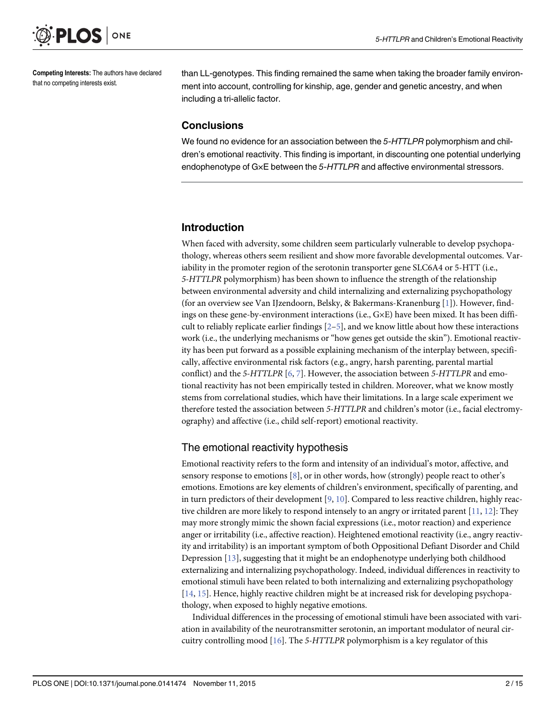<span id="page-1-0"></span>

Competing Interests: The authors have declared that no competing interests exist.

than LL-genotypes. This finding remained the same when taking the broader family environment into account, controlling for kinship, age, gender and genetic ancestry, and when including a tri-allelic factor.

# **Conclusions**

We found no evidence for an association between the 5-HTTLPR polymorphism and children's emotional reactivity. This finding is important, in discounting one potential underlying endophenotype of G×E between the 5-HTTLPR and affective environmental stressors.

# Introduction

When faced with adversity, some children seem particularly vulnerable to develop psychopathology, whereas others seem resilient and show more favorable developmental outcomes. Variability in the promoter region of the serotonin transporter gene SLC6A4 or 5-HTT (i.e., 5-HTTLPR polymorphism) has been shown to influence the strength of the relationship between environmental adversity and child internalizing and externalizing psychopathology (for an overview see Van IJzendoorn, Belsky, & Bakermans-Kranenburg [\[1](#page-11-0)]). However, findings on these gene-by-environment interactions (i.e., G×E) have been mixed. It has been difficult to reliably replicate earlier findings  $[2-5]$  $[2-5]$  $[2-5]$  $[2-5]$ , and we know little about how these interactions work (i.e., the underlying mechanisms or "how genes get outside the skin"). Emotional reactivity has been put forward as a possible explaining mechanism of the interplay between, specifically, affective environmental risk factors (e.g., angry, harsh parenting, parental martial conflict) and the 5-HTTLPR  $[6, 7]$  $[6, 7]$  $[6, 7]$  $[6, 7]$ . However, the association between 5-HTTLPR and emotional reactivity has not been empirically tested in children. Moreover, what we know mostly stems from correlational studies, which have their limitations. In a large scale experiment we therefore tested the association between 5-HTTLPR and children's motor (i.e., facial electromyography) and affective (i.e., child self-report) emotional reactivity.

# The emotional reactivity hypothesis

Emotional reactivity refers to the form and intensity of an individual's motor, affective, and sensory response to emotions [\[8](#page-11-0)], or in other words, how (strongly) people react to other's emotions. Emotions are key elements of children's environment, specifically of parenting, and in turn predictors of their development [[9](#page-12-0), [10](#page-12-0)]. Compared to less reactive children, highly reactive children are more likely to respond intensely to an angry or irritated parent [\[11,](#page-12-0) [12\]](#page-12-0): They may more strongly mimic the shown facial expressions (i.e., motor reaction) and experience anger or irritability (i.e., affective reaction). Heightened emotional reactivity (i.e., angry reactivity and irritability) is an important symptom of both Oppositional Defiant Disorder and Child Depression [\[13](#page-12-0)], suggesting that it might be an endophenotype underlying both childhood externalizing and internalizing psychopathology. Indeed, individual differences in reactivity to emotional stimuli have been related to both internalizing and externalizing psychopathology [\[14](#page-12-0), [15\]](#page-12-0). Hence, highly reactive children might be at increased risk for developing psychopathology, when exposed to highly negative emotions.

Individual differences in the processing of emotional stimuli have been associated with variation in availability of the neurotransmitter serotonin, an important modulator of neural circuitry controlling mood  $[16]$  $[16]$  $[16]$ . The 5-HTTLPR polymorphism is a key regulator of this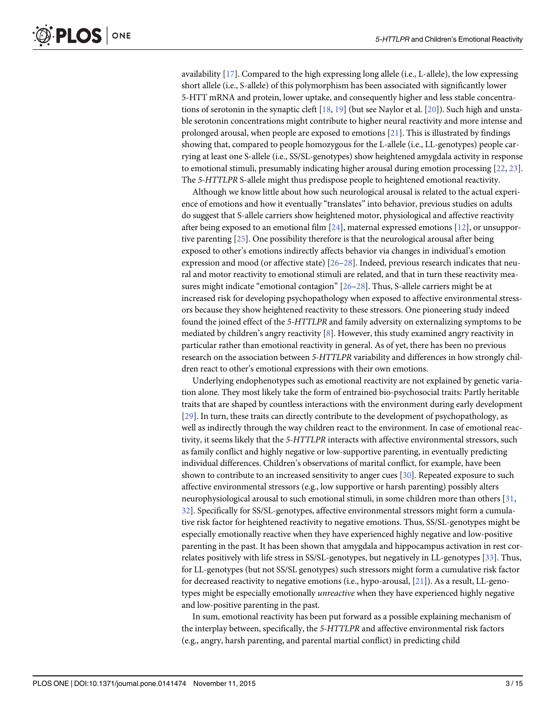<span id="page-2-0"></span>availability [[17](#page-12-0)]. Compared to the high expressing long allele (i.e., L-allele), the low expressing short allele (i.e., S-allele) of this polymorphism has been associated with significantly lower 5-HTT mRNA and protein, lower uptake, and consequently higher and less stable concentrations of serotonin in the synaptic cleft  $[18, 19]$  $[18, 19]$  $[18, 19]$  $[18, 19]$  $[18, 19]$  (but see Naylor et al.  $[20]$  $[20]$ ). Such high and unstable serotonin concentrations might contribute to higher neural reactivity and more intense and prolonged arousal, when people are exposed to emotions [\[21\]](#page-12-0). This is illustrated by findings showing that, compared to people homozygous for the L-allele (i.e., LL-genotypes) people carrying at least one S-allele (i.e., SS/SL-genotypes) show heightened amygdala activity in response to emotional stimuli, presumably indicating higher arousal during emotion processing  $[22, 23]$  $[22, 23]$  $[22, 23]$  $[22, 23]$  $[22, 23]$ . The 5-HTTLPR S-allele might thus predispose people to heightened emotional reactivity.

Although we know little about how such neurological arousal is related to the actual experience of emotions and how it eventually "translates" into behavior, previous studies on adults do suggest that S-allele carriers show heightened motor, physiological and affective reactivity after being exposed to an emotional film [\[24\]](#page-12-0), maternal expressed emotions [[12](#page-12-0)], or unsupportive parenting [[25](#page-12-0)]. One possibility therefore is that the neurological arousal after being exposed to other's emotions indirectly affects behavior via changes in individual's emotion expression and mood (or affective state) [[26](#page-12-0)–[28](#page-12-0)]. Indeed, previous research indicates that neural and motor reactivity to emotional stimuli are related, and that in turn these reactivity measures might indicate "emotional contagion" [[26](#page-12-0)–[28](#page-12-0)]. Thus, S-allele carriers might be at increased risk for developing psychopathology when exposed to affective environmental stressors because they show heightened reactivity to these stressors. One pioneering study indeed found the joined effect of the 5-HTTLPR and family adversity on externalizing symptoms to be mediated by children's angry reactivity [\[8](#page-11-0)]. However, this study examined angry reactivity in particular rather than emotional reactivity in general. As of yet, there has been no previous research on the association between 5-HTTLPR variability and differences in how strongly children react to other's emotional expressions with their own emotions.

Underlying endophenotypes such as emotional reactivity are not explained by genetic variation alone. They most likely take the form of entrained bio-psychosocial traits: Partly heritable traits that are shaped by countless interactions with the environment during early development [\[29](#page-12-0)]. In turn, these traits can directly contribute to the development of psychopathology, as well as indirectly through the way children react to the environment. In case of emotional reactivity, it seems likely that the 5-HTTLPR interacts with affective environmental stressors, such as family conflict and highly negative or low-supportive parenting, in eventually predicting individual differences. Children's observations of marital conflict, for example, have been shown to contribute to an increased sensitivity to anger cues [[30](#page-13-0)]. Repeated exposure to such affective environmental stressors (e.g., low supportive or harsh parenting) possibly alters neurophysiological arousal to such emotional stimuli, in some children more than others [[31](#page-13-0), [32\]](#page-13-0). Specifically for SS/SL-genotypes, affective environmental stressors might form a cumulative risk factor for heightened reactivity to negative emotions. Thus, SS/SL-genotypes might be especially emotionally reactive when they have experienced highly negative and low-positive parenting in the past. It has been shown that amygdala and hippocampus activation in rest correlates positively with life stress in SS/SL-genotypes, but negatively in LL-genotypes [\[33\]](#page-13-0). Thus, for LL-genotypes (but not SS/SL genotypes) such stressors might form a cumulative risk factor for decreased reactivity to negative emotions (i.e., hypo-arousal, [[21](#page-12-0)]). As a result, LL-genotypes might be especially emotionally *unreactive* when they have experienced highly negative and low-positive parenting in the past.

In sum, emotional reactivity has been put forward as a possible explaining mechanism of the interplay between, specifically, the 5-HTTLPR and affective environmental risk factors (e.g., angry, harsh parenting, and parental martial conflict) in predicting child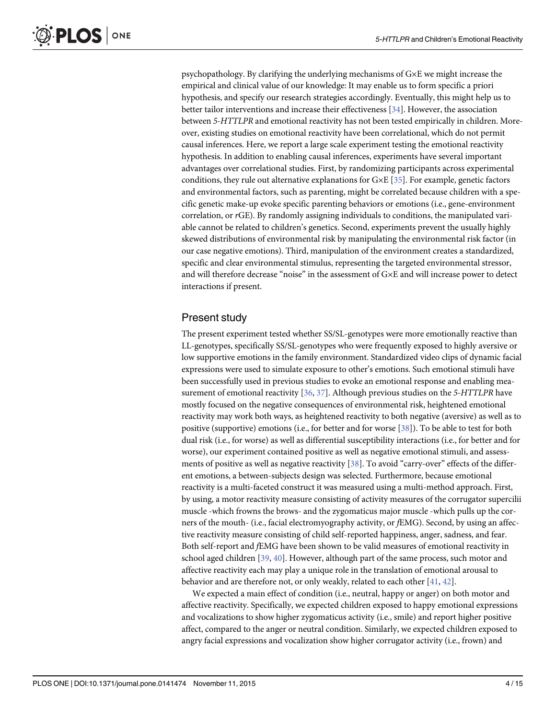<span id="page-3-0"></span>psychopathology. By clarifying the underlying mechanisms of G×E we might increase the empirical and clinical value of our knowledge: It may enable us to form specific a priori hypothesis, and specify our research strategies accordingly. Eventually, this might help us to better tailor interventions and increase their effectiveness [\[34](#page-13-0)]. However, the association between 5-HTTLPR and emotional reactivity has not been tested empirically in children. Moreover, existing studies on emotional reactivity have been correlational, which do not permit causal inferences. Here, we report a large scale experiment testing the emotional reactivity hypothesis. In addition to enabling causal inferences, experiments have several important advantages over correlational studies. First, by randomizing participants across experimental conditions, they rule out alternative explanations for G×E [[35](#page-13-0)]. For example, genetic factors and environmental factors, such as parenting, might be correlated because children with a specific genetic make-up evoke specific parenting behaviors or emotions (i.e., gene-environment correlation, or rGE). By randomly assigning individuals to conditions, the manipulated variable cannot be related to children's genetics. Second, experiments prevent the usually highly skewed distributions of environmental risk by manipulating the environmental risk factor (in our case negative emotions). Third, manipulation of the environment creates a standardized, specific and clear environmental stimulus, representing the targeted environmental stressor, and will therefore decrease "noise" in the assessment of G×E and will increase power to detect interactions if present.

# Present study

The present experiment tested whether SS/SL-genotypes were more emotionally reactive than LL-genotypes, specifically SS/SL-genotypes who were frequently exposed to highly aversive or low supportive emotions in the family environment. Standardized video clips of dynamic facial expressions were used to simulate exposure to other's emotions. Such emotional stimuli have been successfully used in previous studies to evoke an emotional response and enabling measurement of emotional reactivity  $[36, 37]$  $[36, 37]$  $[36, 37]$  $[36, 37]$  $[36, 37]$ . Although previous studies on the 5-HTTLPR have mostly focused on the negative consequences of environmental risk, heightened emotional reactivity may work both ways, as heightened reactivity to both negative (aversive) as well as to positive (supportive) emotions (i.e., for better and for worse [[38](#page-13-0)]). To be able to test for both dual risk (i.e., for worse) as well as differential susceptibility interactions (i.e., for better and for worse), our experiment contained positive as well as negative emotional stimuli, and assess-ments of positive as well as negative reactivity [[38\]](#page-13-0). To avoid "carry-over" effects of the different emotions, a between-subjects design was selected. Furthermore, because emotional reactivity is a multi-faceted construct it was measured using a multi-method approach. First, by using, a motor reactivity measure consisting of activity measures of the corrugator supercilii muscle -which frowns the brows- and the zygomaticus major muscle -which pulls up the corners of the mouth- (i.e., facial electromyography activity, or fEMG). Second, by using an affective reactivity measure consisting of child self-reported happiness, anger, sadness, and fear. Both self-report and fEMG have been shown to be valid measures of emotional reactivity in school aged children [\[39,](#page-13-0) [40\]](#page-13-0). However, although part of the same process, such motor and affective reactivity each may play a unique role in the translation of emotional arousal to behavior and are therefore not, or only weakly, related to each other [\[41](#page-13-0), [42](#page-13-0)].

We expected a main effect of condition (i.e., neutral, happy or anger) on both motor and affective reactivity. Specifically, we expected children exposed to happy emotional expressions and vocalizations to show higher zygomaticus activity (i.e., smile) and report higher positive affect, compared to the anger or neutral condition. Similarly, we expected children exposed to angry facial expressions and vocalization show higher corrugator activity (i.e., frown) and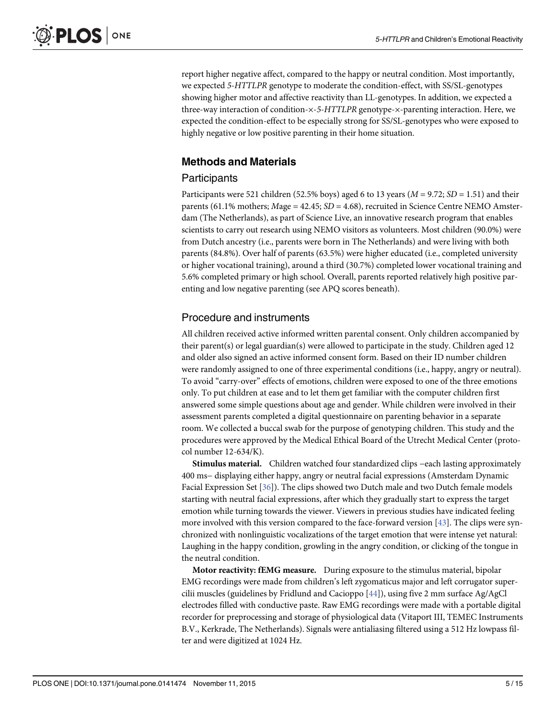<span id="page-4-0"></span>report higher negative affect, compared to the happy or neutral condition. Most importantly, we expected 5-HTTLPR genotype to moderate the condition-effect, with SS/SL-genotypes showing higher motor and affective reactivity than LL-genotypes. In addition, we expected a three-way interaction of condition-×-5-HTTLPR genotype-×-parenting interaction. Here, we expected the condition-effect to be especially strong for SS/SL-genotypes who were exposed to highly negative or low positive parenting in their home situation.

# Methods and Materials

# **Participants**

Participants were 521 children (52.5% boys) aged 6 to 13 years ( $M = 9.72$ ;  $SD = 1.51$ ) and their parents (61.1% mothers;  $Mage = 42.45$ ;  $SD = 4.68$ ), recruited in Science Centre NEMO Amsterdam (The Netherlands), as part of Science Live, an innovative research program that enables scientists to carry out research using NEMO visitors as volunteers. Most children (90.0%) were from Dutch ancestry (i.e., parents were born in The Netherlands) and were living with both parents (84.8%). Over half of parents (63.5%) were higher educated (i.e., completed university or higher vocational training), around a third (30.7%) completed lower vocational training and 5.6% completed primary or high school. Overall, parents reported relatively high positive parenting and low negative parenting (see APQ scores beneath).

# Procedure and instruments

All children received active informed written parental consent. Only children accompanied by their parent(s) or legal guardian(s) were allowed to participate in the study. Children aged 12 and older also signed an active informed consent form. Based on their ID number children were randomly assigned to one of three experimental conditions (i.e., happy, angry or neutral). To avoid "carry-over" effects of emotions, children were exposed to one of the three emotions only. To put children at ease and to let them get familiar with the computer children first answered some simple questions about age and gender. While children were involved in their assessment parents completed a digital questionnaire on parenting behavior in a separate room. We collected a buccal swab for the purpose of genotyping children. This study and the procedures were approved by the Medical Ethical Board of the Utrecht Medical Center (protocol number 12-634/K).

Stimulus material. Children watched four standardized clips −each lasting approximately 400 ms− displaying either happy, angry or neutral facial expressions (Amsterdam Dynamic Facial Expression Set [[36](#page-13-0)]). The clips showed two Dutch male and two Dutch female models starting with neutral facial expressions, after which they gradually start to express the target emotion while turning towards the viewer. Viewers in previous studies have indicated feeling more involved with this version compared to the face-forward version [\[43\]](#page-13-0). The clips were synchronized with nonlinguistic vocalizations of the target emotion that were intense yet natural: Laughing in the happy condition, growling in the angry condition, or clicking of the tongue in the neutral condition.

Motor reactivity: fEMG measure. During exposure to the stimulus material, bipolar EMG recordings were made from children's left zygomaticus major and left corrugator supercilii muscles (guidelines by Fridlund and Cacioppo [\[44\]](#page-13-0)), using five 2 mm surface Ag/AgCl electrodes filled with conductive paste. Raw EMG recordings were made with a portable digital recorder for preprocessing and storage of physiological data (Vitaport III, TEMEC Instruments B.V., Kerkrade, The Netherlands). Signals were antialiasing filtered using a 512 Hz lowpass filter and were digitized at 1024 Hz.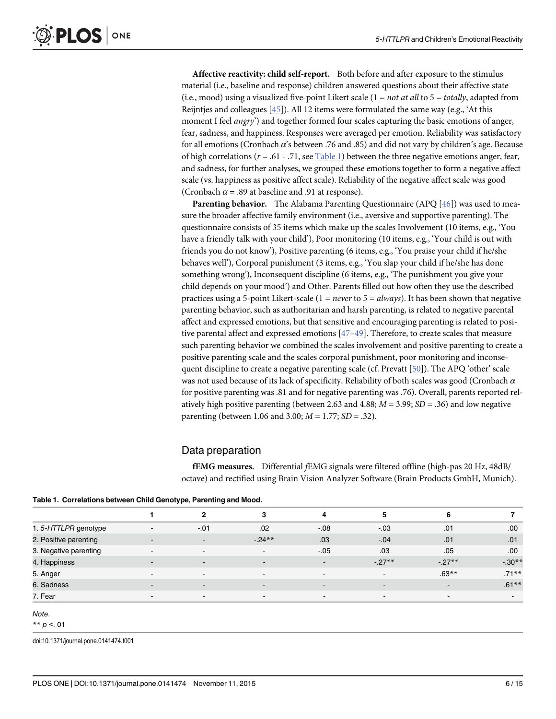<span id="page-5-0"></span>Affective reactivity: child self-report. Both before and after exposure to the stimulus material (i.e., baseline and response) children answered questions about their affective state (i.e., mood) using a visualized five-point Likert scale  $(1 = not at all to 5 = totally, adapted from)$ Reijntjes and colleagues [[45](#page-13-0)]). All 12 items were formulated the same way (e.g., 'At this moment I feel *angry*') and together formed four scales capturing the basic emotions of anger, fear, sadness, and happiness. Responses were averaged per emotion. Reliability was satisfactory for all emotions (Cronbach  $\alpha$ 's between .76 and .85) and did not vary by children's age. Because of high correlations ( $r = .61 - .71$ , see Table 1) between the three negative emotions anger, fear, and sadness, for further analyses, we grouped these emotions together to form a negative affect scale (vs. happiness as positive affect scale). Reliability of the negative affect scale was good (Cronbach  $\alpha$  = .89 at baseline and .91 at response).

**Parenting behavior.** The Alabama Parenting Questionnaire (APQ  $[46]$  $[46]$  $[46]$ ) was used to measure the broader affective family environment (i.e., aversive and supportive parenting). The questionnaire consists of 35 items which make up the scales Involvement (10 items, e.g., 'You have a friendly talk with your child'), Poor monitoring (10 items, e.g., 'Your child is out with friends you do not know'), Positive parenting (6 items, e.g., 'You praise your child if he/she behaves well'), Corporal punishment (3 items, e.g., 'You slap your child if he/she has done something wrong'), Inconsequent discipline (6 items, e.g., 'The punishment you give your child depends on your mood') and Other. Parents filled out how often they use the described practices using a 5-point Likert-scale ( $1 = never$  to  $5 = always$ ). It has been shown that negative parenting behavior, such as authoritarian and harsh parenting, is related to negative parental affect and expressed emotions, but that sensitive and encouraging parenting is related to positive parental affect and expressed emotions  $[47-49]$  $[47-49]$  $[47-49]$  $[47-49]$  $[47-49]$ . Therefore, to create scales that measure such parenting behavior we combined the scales involvement and positive parenting to create a positive parenting scale and the scales corporal punishment, poor monitoring and inconsequent discipline to create a negative parenting scale (cf. Prevatt [[50\]](#page-13-0)). The APQ 'other' scale was not used because of its lack of specificity. Reliability of both scales was good (Cronbach  $\alpha$ for positive parenting was .81 and for negative parenting was .76). Overall, parents reported relatively high positive parenting (between 2.63 and 4.88;  $M = 3.99$ ;  $SD = .36$ ) and low negative parenting (between 1.06 and 3.00;  $M = 1.77$ ;  $SD = .32$ ).

#### Data preparation

fEMG measures. Differential fEMG signals were filtered offline (high-pas 20 Hz, 48dB/ octave) and rectified using Brain Vision Analyzer Software (Brain Products GmbH, Munich).

|  |  |  | Table 1. Correlations between Child Genotype, Parenting and Mood. |  |  |
|--|--|--|-------------------------------------------------------------------|--|--|
|--|--|--|-------------------------------------------------------------------|--|--|

|                       |                          | 2                        |                | 4                        | 5                        |                |          |
|-----------------------|--------------------------|--------------------------|----------------|--------------------------|--------------------------|----------------|----------|
| 1.5-HTTLPR genotype   |                          | $-.01$                   | .02            | $-.08$                   | $-.03$                   | .01            | .00.     |
| 2. Positive parenting |                          |                          | $-24**$        | .03                      | $-.04$                   | .01            | .01      |
| 3. Negative parenting | $\overline{\phantom{0}}$ | $\sim$                   |                | $-.05$                   | .03                      | .05            | .00      |
| 4. Happiness          |                          | $\sim$                   | н.             | $\overline{\phantom{a}}$ | $-27**$                  | $-27**$        | $-.30**$ |
| 5. Anger              |                          | $\overline{\phantom{0}}$ |                | $\overline{\phantom{0}}$ | $\overline{\phantom{a}}$ | $.63**$        | $.71***$ |
| 6. Sadness            |                          | $\sim$                   | $\blacksquare$ | $\overline{\phantom{0}}$ | $\sim$                   | $\blacksquare$ | $.61***$ |
| 7. Fear               | $\sim$                   | $\sim$                   | $\sim$         | $\qquad \qquad$          | $\sim$                   | $\sim$         | $\sim$   |

#### **Note**

\*\*  $p < 01$ 

doi:10.1371/journal.pone.0141474.t001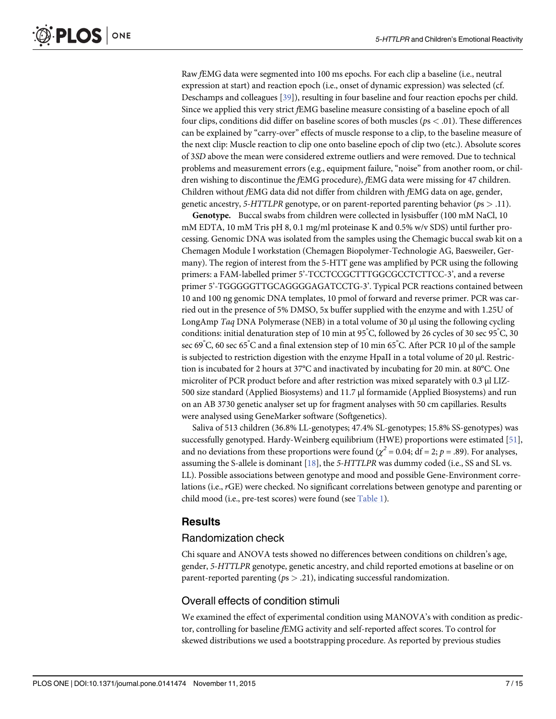<span id="page-6-0"></span>Raw fEMG data were segmented into 100 ms epochs. For each clip a baseline (i.e., neutral expression at start) and reaction epoch (i.e., onset of dynamic expression) was selected (cf. Deschamps and colleagues [\[39\]](#page-13-0)), resulting in four baseline and four reaction epochs per child. Since we applied this very strict fEMG baseline measure consisting of a baseline epoch of all four clips, conditions did differ on baseline scores of both muscles ( $ps < .01$ ). These differences can be explained by "carry-over" effects of muscle response to a clip, to the baseline measure of the next clip: Muscle reaction to clip one onto baseline epoch of clip two (etc.). Absolute scores of 3SD above the mean were considered extreme outliers and were removed. Due to technical problems and measurement errors (e.g., equipment failure, "noise" from another room, or children wishing to discontinue the fEMG procedure), fEMG data were missing for 47 children. Children without fEMG data did not differ from children with fEMG data on age, gender, genetic ancestry, 5-HTTLPR genotype, or on parent-reported parenting behavior ( $ps > .11$ ).

Genotype. Buccal swabs from children were collected in lysisbuffer (100 mM NaCl, 10 mM EDTA, 10 mM Tris pH 8, 0.1 mg/ml proteinase K and 0.5% w/v SDS) until further processing. Genomic DNA was isolated from the samples using the Chemagic buccal swab kit on a Chemagen Module I workstation (Chemagen Biopolymer-Technologie AG, Baesweiler, Germany). The region of interest from the 5-HTT gene was amplified by PCR using the following primers: a FAM-labelled primer 5'-TCCTCCGCTTTGGCGCCTCTTCC-3', and a reverse primer 5'-TGGGGGTTGCAGGGGAGATCCTG-3'. Typical PCR reactions contained between 10 and 100 ng genomic DNA templates, 10 pmol of forward and reverse primer. PCR was carried out in the presence of 5% DMSO, 5x buffer supplied with the enzyme and with 1.25U of LongAmp Taq DNA Polymerase (NEB) in a total volume of 30 μl using the following cycling conditions: initial denaturation step of 10 min at 95  $\degree$ C, followed by 26 cycles of 30 sec 95  $\degree$ C, 30 sec 69° C, 60 sec 65° C and a final extension step of 10 min 65° C. After PCR 10 μl of the sample is subjected to restriction digestion with the enzyme HpaII in a total volume of 20 μl. Restriction is incubated for 2 hours at 37°C and inactivated by incubating for 20 min. at 80°C. One microliter of PCR product before and after restriction was mixed separately with 0.3 μl LIZ-500 size standard (Applied Biosystems) and 11.7 μl formamide (Applied Biosystems) and run on an AB 3730 genetic analyser set up for fragment analyses with 50 cm capillaries. Results were analysed using GeneMarker software (Softgenetics).

Saliva of 513 children (36.8% LL-genotypes; 47.4% SL-genotypes; 15.8% SS-genotypes) was successfully genotyped. Hardy-Weinberg equilibrium (HWE) proportions were estimated [[51](#page-13-0)], and no deviations from these proportions were found ( $\chi^2 = 0.04$ ; df = 2; p = .89). For analyses, assuming the S-allele is dominant  $[18]$  $[18]$  $[18]$ , the 5-HTTLPR was dummy coded (i.e., SS and SL vs. LL). Possible associations between genotype and mood and possible Gene-Environment correlations (i.e., rGE) were checked. No significant correlations between genotype and parenting or child mood (i.e., pre-test scores) were found (see  $Table 1$ ).

# **Results**

# Randomization check

Chi square and ANOVA tests showed no differences between conditions on children's age, gender, 5-HTTLPR genotype, genetic ancestry, and child reported emotions at baseline or on parent-reported parenting ( $ps > .21$ ), indicating successful randomization.

# Overall effects of condition stimuli

We examined the effect of experimental condition using MANOVA's with condition as predictor, controlling for baseline fEMG activity and self-reported affect scores. To control for skewed distributions we used a bootstrapping procedure. As reported by previous studies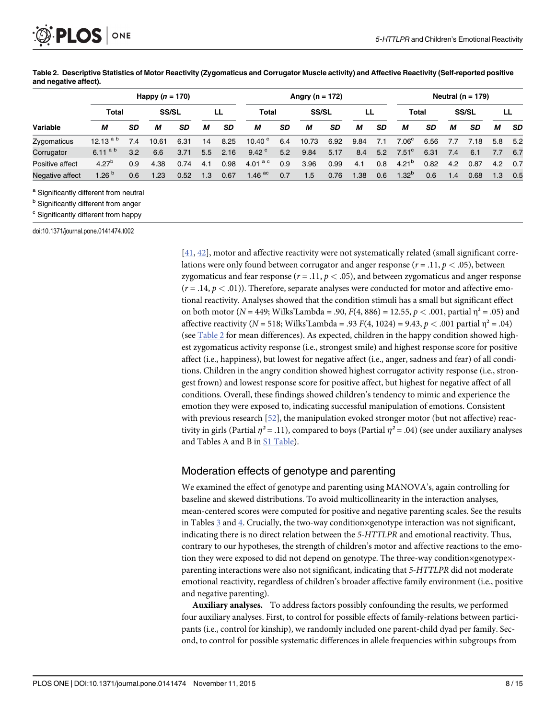<span id="page-7-0"></span>

Table 2. Descriptive Statistics of Motor Reactivity (Zygomaticus and Corrugator Muscle activity) and Affective Reactivity (Self-reported positive and negative affect).

|                 |             |           | Happy $(n = 170)$ |           |     |           |                   |     | Angry (n = $172$ ) |           |      |     | Neutral ( $n = 179$ ) |           |     |              |     |           |  |
|-----------------|-------------|-----------|-------------------|-----------|-----|-----------|-------------------|-----|--------------------|-----------|------|-----|-----------------------|-----------|-----|--------------|-----|-----------|--|
|                 | Total       |           | <b>SS/SL</b>      |           |     | LL        | Total             |     | <b>SS/SL</b>       |           |      |     | Total                 |           |     | <b>SS/SL</b> |     | LL        |  |
| Variable        | м           | <b>SD</b> | м                 | <b>SD</b> | м   | <b>SD</b> | м                 | SD  | М                  | <b>SD</b> | М    | SD  | М                     | <b>SD</b> | М   | SD           | М   | <b>SD</b> |  |
| Zygomaticus     | $12.13^{a}$ | 7.4       | 10.61             | 6.31      | 14  | 8.25      | 10.40 $^{\circ}$  | 6.4 | 10.73              | 6.92      | 9.84 | 7.1 | 7.06 <sup>c</sup>     | 6.56      | 7.7 | 7.18         | 5.8 | - 5.2     |  |
| Corrugator      | 6.11 $a b$  | 3.2       | 6.6               | 3.71      | 5.5 | 2.16      | 9.42 $^{\circ}$   | 5.2 | 9.84               | 5.17      | 8.4  | 5.2 | $7.51^{\circ}$        | 6.31      | 7.4 | 6.1          | 7.7 | 6.7       |  |
| Positive affect | $4.27^{b}$  | 0.9       | 4.38              | 0.74      | 4.1 | 0.98      | 4.01 $^{\rm a~c}$ | 0.9 | 3.96               | 0.99      | 4.1  | 0.8 | $4.21^{b}$            | 0.82      | 4.2 | 0.87         | 4.2 | 0.7       |  |
| Negative affect | 1.26 $b$    | 0.6       | 1.23              | 0.52      | 1.3 | 0.67      | 1.46 $^{ac}$      | 0.7 | 1.5                | 0.76      | 1.38 | 0.6 | $1.32^{p}$            | 0.6       | 1.4 | 0.68         | 1.3 | 0.5       |  |

a Significantly different from neutral

**b** Significantly different from anger

<sup>c</sup> Significantly different from happy

doi:10.1371/journal.pone.0141474.t002

[\[41](#page-13-0), [42\]](#page-13-0), motor and affective reactivity were not systematically related (small significant correlations were only found between corrugator and anger response ( $r = .11$ ,  $p < .05$ ), between zygomaticus and fear response  $(r = .11, p < .05)$ , and between zygomaticus and anger response  $(r = .14, p < .01)$ ). Therefore, separate analyses were conducted for motor and affective emotional reactivity. Analyses showed that the condition stimuli has a small but significant effect on both motor ( $N = 449$ ; Wilks'Lambda = .90,  $F(4, 886) = 12.55$ ,  $p < .001$ , partial  $\eta^2 = .05$ ) and affective reactivity ( $N = 518$ ; Wilks'Lambda = .93  $F(4, 1024) = 9.43$ ,  $p < .001$  partial  $\eta^2 = .04$ ) (see Table 2 for mean differences). As expected, children in the happy condition showed highest zygomaticus activity response (i.e., strongest smile) and highest response score for positive affect (i.e., happiness), but lowest for negative affect (i.e., anger, sadness and fear) of all conditions. Children in the angry condition showed highest corrugator activity response (i.e., strongest frown) and lowest response score for positive affect, but highest for negative affect of all conditions. Overall, these findings showed children's tendency to mimic and experience the emotion they were exposed to, indicating successful manipulation of emotions. Consistent with previous research  $[52]$  $[52]$ , the manipulation evoked stronger motor (but not affective) reactivity in girls (Partial  $\eta^2$  = .11), compared to boys (Partial  $\eta^2$  = .04) (see under auxiliary analyses and Tables A and B in [S1 Table\)](#page-11-0).

# Moderation effects of genotype and parenting

We examined the effect of genotype and parenting using MANOVA's, again controlling for baseline and skewed distributions. To avoid multicollinearity in the interaction analyses, mean-centered scores were computed for positive and negative parenting scales. See the results in Tables  $\frac{3}{2}$  $\frac{3}{2}$  $\frac{3}{2}$  and  $\frac{4}{3}$  $\frac{4}{3}$  $\frac{4}{3}$ . Crucially, the two-way condition×genotype interaction was not significant, indicating there is no direct relation between the 5-HTTLPR and emotional reactivity. Thus, contrary to our hypotheses, the strength of children's motor and affective reactions to the emotion they were exposed to did not depend on genotype. The three-way condition×genotype× parenting interactions were also not significant, indicating that 5-HTTLPR did not moderate emotional reactivity, regardless of children's broader affective family environment (i.e., positive and negative parenting).

Auxiliary analyses. To address factors possibly confounding the results, we performed four auxiliary analyses. First, to control for possible effects of family-relations between participants (i.e., control for kinship), we randomly included one parent-child dyad per family. Second, to control for possible systematic differences in allele frequencies within subgroups from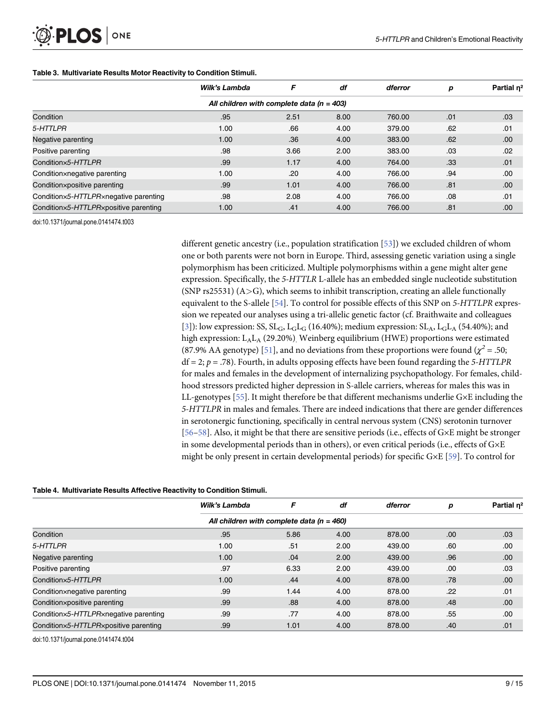# <span id="page-8-0"></span>PLOS ONE

#### [Table 3.](#page-7-0) Multivariate Results Motor Reactivity to Condition Stimuli.

|                                       | Wilk's Lambda | F                                             | df   | dferror | р   | Partial n <sup>2</sup> |  |  |  |  |  |
|---------------------------------------|---------------|-----------------------------------------------|------|---------|-----|------------------------|--|--|--|--|--|
|                                       |               | All children with complete data ( $n = 403$ ) |      |         |     |                        |  |  |  |  |  |
| Condition                             | .95           | 2.51                                          | 8.00 | 760.00  | .01 | .03                    |  |  |  |  |  |
| 5-HTTLPR                              | 1.00          | .66                                           | 4.00 | 379.00  | .62 | .01                    |  |  |  |  |  |
| Negative parenting                    | 1.00          | .36                                           | 4.00 | 383.00  | .62 | .00.                   |  |  |  |  |  |
| Positive parenting                    | .98           | 3.66                                          | 2.00 | 383.00  | .03 | .02                    |  |  |  |  |  |
| Conditionx5-HTTLPR                    | .99           | 1.17                                          | 4.00 | 764.00  | .33 | .01                    |  |  |  |  |  |
| Conditionxnegative parenting          | 1.00          | .20                                           | 4.00 | 766.00  | .94 | .00                    |  |  |  |  |  |
| Condition×positive parenting          | .99           | 1.01                                          | 4.00 | 766.00  | .81 | .00.                   |  |  |  |  |  |
| Condition×5-HTTLPR×negative parenting | .98           | 2.08                                          | 4.00 | 766.00  | .08 | .01                    |  |  |  |  |  |
| Conditionx5-HTTLPRxpositive parenting | 1.00          | .41                                           | 4.00 | 766.00  | .81 | .00                    |  |  |  |  |  |

doi:10.1371/journal.pone.0141474.t003

different genetic ancestry (i.e., population stratification  $[53]$  $[53]$  $[53]$ ) we excluded children of whom one or both parents were not born in Europe. Third, assessing genetic variation using a single polymorphism has been criticized. Multiple polymorphisms within a gene might alter gene expression. Specifically, the 5-HTTLR L-allele has an embedded single nucleotide substitution  $(SNP rs25531)$   $(A>G)$ , which seems to inhibit transcription, creating an allele functionally equivalent to the S-allele [\[54](#page-14-0)]. To control for possible effects of this SNP on 5-HTTLPR expression we repeated our analyses using a tri-allelic genetic factor (cf. Braithwaite and colleagues [\[3](#page-11-0)]): low expression: SS,  $SL_G$ ,  $L_GL_G$  (16.40%); medium expression:  $SL_A$ ,  $L_GL_A$  (54.40%); and high expression: L<sub>A</sub>L<sub>A</sub> (29.20%)<sub>.</sub> Weinberg equilibrium (HWE) proportions were estimated (87.9% AA genotype) [[51\]](#page-13-0), and no deviations from these proportions were found ( $\chi^2$  = .50;  $df = 2$ ;  $p = .78$ ). Fourth, in adults opposing effects have been found regarding the 5-HTTLPR for males and females in the development of internalizing psychopathology. For females, childhood stressors predicted higher depression in S-allele carriers, whereas for males this was in LL-genotypes [[55](#page-14-0)]. It might therefore be that different mechanisms underlie G×E including the 5-HTTLPR in males and females. There are indeed indications that there are gender differences in serotonergic functioning, specifically in central nervous system (CNS) serotonin turnover [\[56](#page-14-0)–[58\]](#page-14-0). Also, it might be that there are sensitive periods (i.e., effects of G×E might be stronger in some developmental periods than in others), or even critical periods (i.e., effects of G×E might be only present in certain developmental periods) for specific G×E [[59](#page-14-0)]. To control for

#### [Table 4.](#page-7-0) Multivariate Results Affective Reactivity to Condition Stimuli.

|                                       | Wilk's Lambda                                 | F    | df   | dferror | р   | Partial n <sup>2</sup> |  |  |  |
|---------------------------------------|-----------------------------------------------|------|------|---------|-----|------------------------|--|--|--|
|                                       | All children with complete data ( $n = 460$ ) |      |      |         |     |                        |  |  |  |
| Condition                             | .95                                           | 5.86 | 4.00 | 878.00  | .00 | .03                    |  |  |  |
| 5-HTTLPR                              | 1.00                                          | .51  | 2.00 | 439.00  | .60 | .00.                   |  |  |  |
| Negative parenting                    | 1.00                                          | .04  | 2.00 | 439.00  | .96 | .00.                   |  |  |  |
| Positive parenting                    | .97                                           | 6.33 | 2.00 | 439.00  | .00 | .03                    |  |  |  |
| Condition×5-HTTLPR                    | 1.00                                          | .44  | 4.00 | 878.00  | .78 | .00.                   |  |  |  |
| Conditionxnegative parenting          | .99                                           | 1.44 | 4.00 | 878.00  | .22 | .01                    |  |  |  |
| Conditionxpositive parenting          | .99                                           | .88  | 4.00 | 878.00  | .48 | .00                    |  |  |  |
| Conditionx5-HTTLPRxnegative parenting | .99                                           | .77  | 4.00 | 878.00  | .55 | .00                    |  |  |  |
| Conditionx5-HTTLPRxpositive parenting | .99                                           | 1.01 | 4.00 | 878.00  | .40 | .01                    |  |  |  |

doi:10.1371/journal.pone.0141474.t004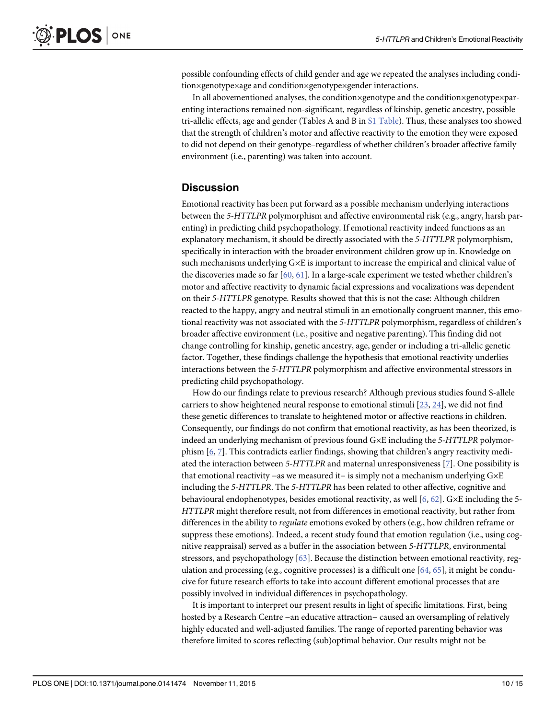<span id="page-9-0"></span>possible confounding effects of child gender and age we repeated the analyses including condition×genotype×age and condition×genotype×gender interactions.

In all abovementioned analyses, the condition×genotype and the condition×genotype×parenting interactions remained non-significant, regardless of kinship, genetic ancestry, possible tri-allelic effects, age and gender (Tables A and B in [S1 Table](#page-11-0)). Thus, these analyses too showed that the strength of children's motor and affective reactivity to the emotion they were exposed to did not depend on their genotype–regardless of whether children's broader affective family environment (i.e., parenting) was taken into account.

# **Discussion**

Emotional reactivity has been put forward as a possible mechanism underlying interactions between the 5-HTTLPR polymorphism and affective environmental risk (e.g., angry, harsh parenting) in predicting child psychopathology. If emotional reactivity indeed functions as an explanatory mechanism, it should be directly associated with the 5-HTTLPR polymorphism, specifically in interaction with the broader environment children grow up in. Knowledge on such mechanisms underlying G×E is important to increase the empirical and clinical value of the discoveries made so far  $[60, 61]$  $[60, 61]$  $[60, 61]$  $[60, 61]$ . In a large-scale experiment we tested whether children's motor and affective reactivity to dynamic facial expressions and vocalizations was dependent on their 5-HTTLPR genotype. Results showed that this is not the case: Although children reacted to the happy, angry and neutral stimuli in an emotionally congruent manner, this emotional reactivity was not associated with the 5-HTTLPR polymorphism, regardless of children's broader affective environment (i.e., positive and negative parenting). This finding did not change controlling for kinship, genetic ancestry, age, gender or including a tri-allelic genetic factor. Together, these findings challenge the hypothesis that emotional reactivity underlies interactions between the 5-HTTLPR polymorphism and affective environmental stressors in predicting child psychopathology.

How do our findings relate to previous research? Although previous studies found S-allele carriers to show heightened neural response to emotional stimuli  $[23, 24]$  $[23, 24]$  $[23, 24]$ , we did not find these genetic differences to translate to heightened motor or affective reactions in children. Consequently, our findings do not confirm that emotional reactivity, as has been theorized, is indeed an underlying mechanism of previous found G×E including the 5-HTTLPR polymorphism [[6](#page-11-0), [7\]](#page-11-0). This contradicts earlier findings, showing that children's angry reactivity mediated the interaction between 5-HTTLPR and maternal unresponsiveness [[7\]](#page-11-0). One possibility is that emotional reactivity −as we measured it− is simply not a mechanism underlying G×E including the 5-HTTLPR. The 5-HTTLPR has been related to other affective, cognitive and behavioural endophenotypes, besides emotional reactivity, as well [\[6,](#page-11-0)  $62$ ]. G×E including the 5-HTTLPR might therefore result, not from differences in emotional reactivity, but rather from differences in the ability to regulate emotions evoked by others (e.g., how children reframe or suppress these emotions). Indeed, a recent study found that emotion regulation (i.e., using cognitive reappraisal) served as a buffer in the association between 5-HTTLPR, environmental stressors, and psychopathology [[63\]](#page-14-0). Because the distinction between emotional reactivity, regulation and processing (e.g., cognitive processes) is a difficult one  $[64, 65]$  $[64, 65]$  $[64, 65]$  $[64, 65]$  $[64, 65]$ , it might be conducive for future research efforts to take into account different emotional processes that are possibly involved in individual differences in psychopathology.

It is important to interpret our present results in light of specific limitations. First, being hosted by a Research Centre −an educative attraction− caused an oversampling of relatively highly educated and well-adjusted families. The range of reported parenting behavior was therefore limited to scores reflecting (sub)optimal behavior. Our results might not be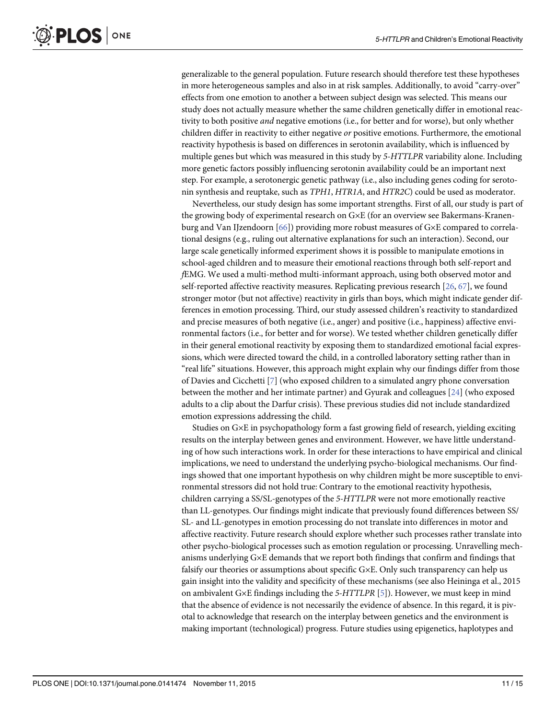<span id="page-10-0"></span>generalizable to the general population. Future research should therefore test these hypotheses in more heterogeneous samples and also in at risk samples. Additionally, to avoid "carry-over" effects from one emotion to another a between subject design was selected. This means our study does not actually measure whether the same children genetically differ in emotional reactivity to both positive and negative emotions (i.e., for better and for worse), but only whether children differ in reactivity to either negative or positive emotions. Furthermore, the emotional reactivity hypothesis is based on differences in serotonin availability, which is influenced by multiple genes but which was measured in this study by 5-HTTLPR variability alone. Including more genetic factors possibly influencing serotonin availability could be an important next step. For example, a serotonergic genetic pathway (i.e., also including genes coding for serotonin synthesis and reuptake, such as TPH1, HTR1A, and HTR2C) could be used as moderator.

Nevertheless, our study design has some important strengths. First of all, our study is part of the growing body of experimental research on G×E (for an overview see Bakermans-Kranenburg and Van IJzendoorn [\[66\]](#page-14-0)) providing more robust measures of G×E compared to correlational designs (e.g., ruling out alternative explanations for such an interaction). Second, our large scale genetically informed experiment shows it is possible to manipulate emotions in school-aged children and to measure their emotional reactions through both self-report and fEMG. We used a multi-method multi-informant approach, using both observed motor and self-reported affective reactivity measures. Replicating previous research [[26](#page-12-0), [67](#page-14-0)], we found stronger motor (but not affective) reactivity in girls than boys, which might indicate gender differences in emotion processing. Third, our study assessed children's reactivity to standardized and precise measures of both negative (i.e., anger) and positive (i.e., happiness) affective environmental factors (i.e., for better and for worse). We tested whether children genetically differ in their general emotional reactivity by exposing them to standardized emotional facial expressions, which were directed toward the child, in a controlled laboratory setting rather than in "real life" situations. However, this approach might explain why our findings differ from those of Davies and Cicchetti [[7](#page-11-0)] (who exposed children to a simulated angry phone conversation between the mother and her intimate partner) and Gyurak and colleagues [[24](#page-12-0)] (who exposed adults to a clip about the Darfur crisis). These previous studies did not include standardized emotion expressions addressing the child.

Studies on G×E in psychopathology form a fast growing field of research, yielding exciting results on the interplay between genes and environment. However, we have little understanding of how such interactions work. In order for these interactions to have empirical and clinical implications, we need to understand the underlying psycho-biological mechanisms. Our findings showed that one important hypothesis on why children might be more susceptible to environmental stressors did not hold true: Contrary to the emotional reactivity hypothesis, children carrying a SS/SL-genotypes of the 5-HTTLPR were not more emotionally reactive than LL-genotypes. Our findings might indicate that previously found differences between SS/ SL- and LL-genotypes in emotion processing do not translate into differences in motor and affective reactivity. Future research should explore whether such processes rather translate into other psycho-biological processes such as emotion regulation or processing. Unravelling mechanisms underlying G×E demands that we report both findings that confirm and findings that falsify our theories or assumptions about specific G×E. Only such transparency can help us gain insight into the validity and specificity of these mechanisms (see also Heininga et al., 2015 on ambivalent G×E findings including the [5](#page-11-0)-HTTLPR  $[5]$ ). However, we must keep in mind that the absence of evidence is not necessarily the evidence of absence. In this regard, it is pivotal to acknowledge that research on the interplay between genetics and the environment is making important (technological) progress. Future studies using epigenetics, haplotypes and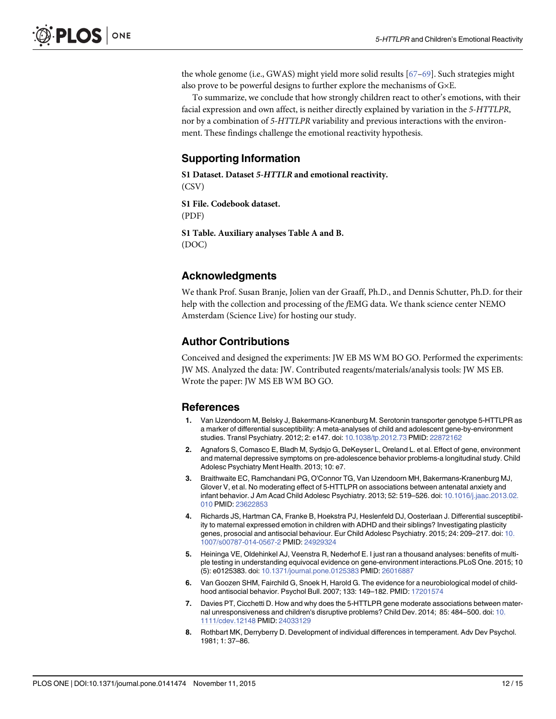<span id="page-11-0"></span>the whole genome (i.e., GWAS) might yield more solid results [\[67](#page-14-0)–[69\]](#page-14-0). Such strategies might also prove to be powerful designs to further explore the mechanisms of G×E.

To summarize, we conclude that how strongly children react to other's emotions, with their facial expression and own affect, is neither directly explained by variation in the 5-HTTLPR, nor by a combination of 5-HTTLPR variability and previous interactions with the environment. These findings challenge the emotional reactivity hypothesis.

# Supporting Information

[S1 Dataset.](http://www.plosone.org/article/fetchSingleRepresentation.action?uri=info:doi/10.1371/journal.pone.0141474.s001) Dataset 5-HTTLR and emotional reactivity.

(CSV)

[S1 File.](http://www.plosone.org/article/fetchSingleRepresentation.action?uri=info:doi/10.1371/journal.pone.0141474.s002) Codebook dataset. (PDF)

[S1 Table](http://www.plosone.org/article/fetchSingleRepresentation.action?uri=info:doi/10.1371/journal.pone.0141474.s003). Auxiliary analyses Table A and B. (DOC)

# Acknowledgments

We thank Prof. Susan Branje, Jolien van der Graaff, Ph.D., and Dennis Schutter, Ph.D. for their help with the collection and processing of the fEMG data. We thank science center NEMO Amsterdam (Science Live) for hosting our study.

# Author Contributions

Conceived and designed the experiments: JW EB MS WM BO GO. Performed the experiments: JW MS. Analyzed the data: JW. Contributed reagents/materials/analysis tools: JW MS EB. Wrote the paper: JW MS EB WM BO GO.

#### References

- [1.](#page-1-0) Van IJzendoorn M, Belsky J, Bakermans-Kranenburg M. Serotonin transporter genotype 5-HTTLPR as a marker of differential susceptibility: A meta-analyses of child and adolescent gene-by-environment studies. Transl Psychiatry. 2012; 2: e147. doi: [10.1038/tp.2012.73](http://dx.doi.org/10.1038/tp.2012.73) PMID: [22872162](http://www.ncbi.nlm.nih.gov/pubmed/22872162)
- [2.](#page-1-0) Agnafors S, Comasco E, Bladh M, Sydsjo G, DeKeyser L, Oreland L. et al. Effect of gene, environment and maternal depressive symptoms on pre-adolescence behavior problems-a longitudinal study. Child Adolesc Psychiatry Ment Health. 2013; 10: e7.
- [3.](#page-8-0) Braithwaite EC, Ramchandani PG, O'Connor TG, Van IJzendoorn MH, Bakermans-Kranenburg MJ, Glover V, et al. No moderating effect of 5-HTTLPR on associations between antenatal anxiety and infant behavior. J Am Acad Child Adolesc Psychiatry. 2013; 52: 519–526. doi: [10.1016/j.jaac.2013.02.](http://dx.doi.org/10.1016/j.jaac.2013.02.010) [010](http://dx.doi.org/10.1016/j.jaac.2013.02.010) PMID: [23622853](http://www.ncbi.nlm.nih.gov/pubmed/23622853)
- 4. Richards JS, Hartman CA, Franke B, Hoekstra PJ, Heslenfeld DJ, Oosterlaan J. Differential susceptibility to maternal expressed emotion in children with ADHD and their siblings? Investigating plasticity genes, prosocial and antisocial behaviour. Eur Child Adolesc Psychiatry. 2015; 24: 209–217. doi: [10.](http://dx.doi.org/10.1007/s00787-014-0567-2) [1007/s00787-014-0567-2](http://dx.doi.org/10.1007/s00787-014-0567-2) PMID: [24929324](http://www.ncbi.nlm.nih.gov/pubmed/24929324)
- [5.](#page-1-0) Heininga VE, Oldehinkel AJ, Veenstra R, Nederhof E. I just ran a thousand analyses: benefits of multiple testing in understanding equivocal evidence on gene-environment interactions.PLoS One. 2015; 10 (5): e0125383. doi: [10.1371/journal.pone.0125383](http://dx.doi.org/10.1371/journal.pone.0125383) PMID: [26016887](http://www.ncbi.nlm.nih.gov/pubmed/26016887)
- [6.](#page-1-0) Van Goozen SHM, Fairchild G, Snoek H, Harold G. The evidence for a neurobiological model of childhood antisocial behavior. Psychol Bull. 2007; 133: 149–182. PMID: [17201574](http://www.ncbi.nlm.nih.gov/pubmed/17201574)
- [7.](#page-1-0) Davies PT, Cicchetti D. How and why does the 5-HTTLPR gene moderate associations between maternal unresponsiveness and children's disruptive problems? Child Dev. 2014; 85: 484–500. doi: [10.](http://dx.doi.org/10.1111/cdev.12148) [1111/cdev.12148](http://dx.doi.org/10.1111/cdev.12148) PMID: [24033129](http://www.ncbi.nlm.nih.gov/pubmed/24033129)
- [8.](#page-1-0) Rothbart MK, Derryberry D. Development of individual differences in temperament. Adv Dev Psychol. 1981; 1: 37–86.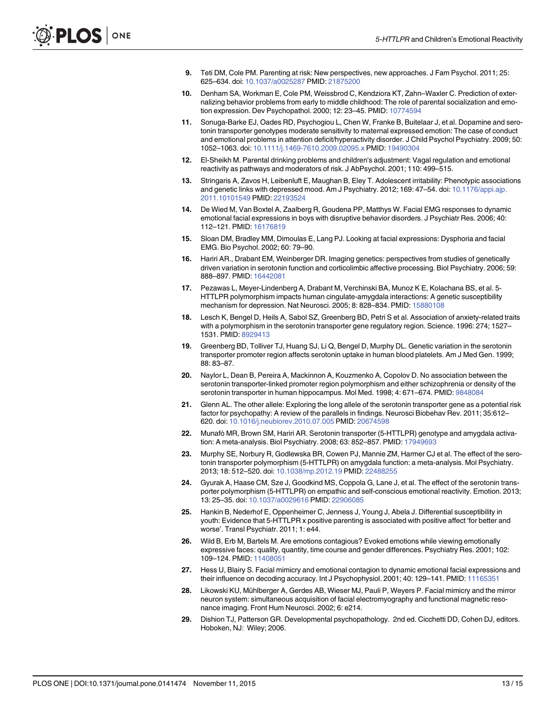- <span id="page-12-0"></span>[9.](#page-1-0) Teti DM, Cole PM. Parenting at risk: New perspectives, new approaches. J Fam Psychol. 2011; 25: 625–634. doi: [10.1037/a0025287](http://dx.doi.org/10.1037/a0025287) PMID: [21875200](http://www.ncbi.nlm.nih.gov/pubmed/21875200)
- [10.](#page-1-0) Denham SA, Workman E, Cole PM, Weissbrod C, Kendziora KT, Zahn–Waxler C. Prediction of externalizing behavior problems from early to middle childhood: The role of parental socialization and emotion expression. Dev Psychopathol. 2000; 12: 23–45. PMID: [10774594](http://www.ncbi.nlm.nih.gov/pubmed/10774594)
- Sonuga-Barke EJ, Oades RD, Psychogiou L, Chen W, Franke B, Buitelaar J, et al. Dopamine and serotonin transporter genotypes moderate sensitivity to maternal expressed emotion: The case of conduct and emotional problems in attention deficit/hyperactivity disorder. J Child Psychol Psychiatry. 2009; 50: 1052–1063. doi: [10.1111/j.1469-7610.2009.02095.x](http://dx.doi.org/10.1111/j.1469-7610.2009.02095.x) PMID: [19490304](http://www.ncbi.nlm.nih.gov/pubmed/19490304)
- [12.](#page-1-0) El-Sheikh M. Parental drinking problems and children's adjustment: Vagal regulation and emotional reactivity as pathways and moderators of risk. J AbPsychol. 2001; 110: 499–515.
- [13.](#page-1-0) Stringaris A, Zavos H, Leibenluft E, Maughan B, Eley T. Adolescent irritability: Phenotypic associations and genetic links with depressed mood. Am J Psychiatry. 2012; 169: 47-54. doi: [10.1176/appi.ajp.](http://dx.doi.org/10.1176/appi.ajp.2011.10101549) [2011.10101549](http://dx.doi.org/10.1176/appi.ajp.2011.10101549) PMID: [22193524](http://www.ncbi.nlm.nih.gov/pubmed/22193524)
- [14.](#page-1-0) De Wied M, Van Boxtel A, Zaalberg R, Goudena PP, Matthys W. Facial EMG responses to dynamic emotional facial expressions in boys with disruptive behavior disorders. J Psychiatr Res. 2006; 40: 112–121. PMID: [16176819](http://www.ncbi.nlm.nih.gov/pubmed/16176819)
- [15.](#page-1-0) Sloan DM, Bradley MM, Dimoulas E, Lang PJ. Looking at facial expressions: Dysphoria and facial EMG. Bio Psychol. 2002; 60: 79–90.
- [16.](#page-1-0) Hariri AR., Drabant EM, Weinberger DR. Imaging genetics: perspectives from studies of genetically driven variation in serotonin function and corticolimbic affective processing. Biol Psychiatry. 2006; 59: 888–897. PMID: [16442081](http://www.ncbi.nlm.nih.gov/pubmed/16442081)
- [17.](#page-2-0) Pezawas L, Meyer-Lindenberg A, Drabant M, Verchinski BA, Munoz K E, Kolachana BS, et al. 5- HTTLPR polymorphism impacts human cingulate-amygdala interactions: A genetic susceptibility mechanism for depression. Nat Neurosci. 2005; 8: 828–834. PMID: [15880108](http://www.ncbi.nlm.nih.gov/pubmed/15880108)
- [18.](#page-2-0) Lesch K, Bengel D, Heils A, Sabol SZ, Greenberg BD, Petri S et al. Association of anxiety-related traits with a polymorphism in the serotonin transporter gene regulatory region. Science. 1996: 274; 1527– 1531. PMID: [8929413](http://www.ncbi.nlm.nih.gov/pubmed/8929413)
- [19.](#page-2-0) Greenberg BD, Tolliver TJ, Huang SJ, Li Q, Bengel D, Murphy DL. Genetic variation in the serotonin transporter promoter region affects serotonin uptake in human blood platelets. Am J Med Gen. 1999; 88: 83–87.
- [20.](#page-2-0) Naylor L, Dean B, Pereira A, Mackinnon A, Kouzmenko A, Copolov D. No association between the serotonin transporter-linked promoter region polymorphism and either schizophrenia or density of the serotonin transporter in human hippocampus. Mol Med. 1998; 4: 671–674. PMID: [9848084](http://www.ncbi.nlm.nih.gov/pubmed/9848084)
- [21.](#page-2-0) Glenn AL. The other allele: Exploring the long allele of the serotonin transporter gene as a potential risk factor for psychopathy: A review of the parallels in findings. Neurosci Biobehav Rev. 2011; 35:612– 620. doi: [10.1016/j.neubiorev.2010.07.005](http://dx.doi.org/10.1016/j.neubiorev.2010.07.005) PMID: [20674598](http://www.ncbi.nlm.nih.gov/pubmed/20674598)
- [22.](#page-2-0) Munafò MR, Brown SM, Hariri AR. Serotonin transporter (5-HTTLPR) genotype and amygdala activation: A meta-analysis. Biol Psychiatry. 2008; 63: 852–857. PMID: [17949693](http://www.ncbi.nlm.nih.gov/pubmed/17949693)
- [23.](#page-2-0) Murphy SE, Norbury R, Godlewska BR, Cowen PJ, Mannie ZM, Harmer CJ et al. The effect of the serotonin transporter polymorphism (5-HTTLPR) on amygdala function: a meta-analysis. Mol Psychiatry. 2013; 18: 512–520. doi: [10.1038/mp.2012.19](http://dx.doi.org/10.1038/mp.2012.19) PMID: [22488255](http://www.ncbi.nlm.nih.gov/pubmed/22488255)
- [24.](#page-2-0) Gyurak A, Haase CM, Sze J, Goodkind MS, Coppola G, Lane J, et al. The effect of the serotonin transporter polymorphism (5-HTTLPR) on empathic and self-conscious emotional reactivity. Emotion. 2013; 13: 25–35. doi: [10.1037/a0029616](http://dx.doi.org/10.1037/a0029616) PMID: [22906085](http://www.ncbi.nlm.nih.gov/pubmed/22906085)
- [25.](#page-2-0) Hankin B, Nederhof E, Oppenheimer C, Jenness J, Young J, Abela J. Differential susceptibility in youth: Evidence that 5-HTTLPR x positive parenting is associated with positive affect 'for better and worse'. Transl Psychiatr. 2011; 1: e44.
- [26.](#page-2-0) Wild B, Erb M, Bartels M. Are emotions contagious? Evoked emotions while viewing emotionally expressive faces: quality, quantity, time course and gender differences. Psychiatry Res. 2001; 102: 109–124. PMID: [11408051](http://www.ncbi.nlm.nih.gov/pubmed/11408051)
- 27. Hess U, Blairy S. Facial mimicry and emotional contagion to dynamic emotional facial expressions and their influence on decoding accuracy. Int J Psychophysiol. 2001; 40: 129-141. PMID: [11165351](http://www.ncbi.nlm.nih.gov/pubmed/11165351)
- [28.](#page-2-0) Likowski KU, Mühlberger A, Gerdes AB, Wieser MJ, Pauli P, Weyers P. Facial mimicry and the mirror neuron system: simultaneous acquisition of facial electromyography and functional magnetic resonance imaging. Front Hum Neurosci. 2002; 6: e214.
- [29.](#page-2-0) Dishion TJ, Patterson GR. Developmental psychopathology. 2nd ed. Cicchetti DD, Cohen DJ, editors. Hoboken, NJ: Wiley; 2006.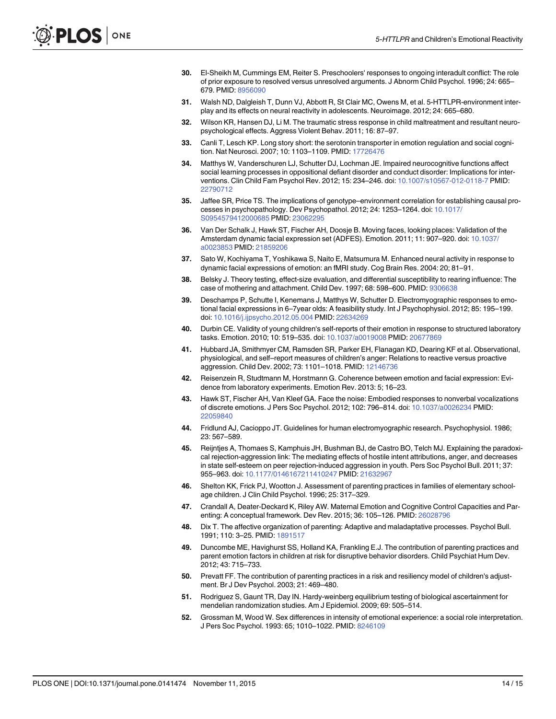- <span id="page-13-0"></span>[30.](#page-2-0) El-Sheikh M, Cummings EM, Reiter S. Preschoolers' responses to ongoing interadult conflict: The role of prior exposure to resolved versus unresolved arguments. J Abnorm Child Psychol. 1996; 24: 665– 679. PMID: [8956090](http://www.ncbi.nlm.nih.gov/pubmed/8956090)
- [31.](#page-2-0) Walsh ND, Dalgleish T, Dunn VJ, Abbott R, St Clair MC, Owens M, et al. 5-HTTLPR-environment interplay and its effects on neural reactivity in adolescents. Neuroimage. 2012; 24: 665–680.
- [32.](#page-2-0) Wilson KR, Hansen DJ, Li M. The traumatic stress response in child maltreatment and resultant neuropsychological effects. Aggress Violent Behav. 2011; 16: 87–97.
- [33.](#page-2-0) Canli T, Lesch KP. Long story short: the serotonin transporter in emotion regulation and social cognition. Nat Neurosci. 2007; 10: 1103–1109. PMID: [17726476](http://www.ncbi.nlm.nih.gov/pubmed/17726476)
- [34.](#page-3-0) Matthys W, Vanderschuren LJ, Schutter DJ, Lochman JE. Impaired neurocognitive functions affect social learning processes in oppositional defiant disorder and conduct disorder: Implications for interventions. Clin Child Fam Psychol Rev. 2012; 15: 234–246. doi: [10.1007/s10567-012-0118-7](http://dx.doi.org/10.1007/s10567-012-0118-7) PMID: [22790712](http://www.ncbi.nlm.nih.gov/pubmed/22790712)
- [35.](#page-3-0) Jaffee SR, Price TS. The implications of genotype–environment correlation for establishing causal processes in psychopathology. Dev Psychopathol. 2012; 24: 1253–1264. doi: [10.1017/](http://dx.doi.org/10.1017/S0954579412000685) [S0954579412000685](http://dx.doi.org/10.1017/S0954579412000685) PMID: [23062295](http://www.ncbi.nlm.nih.gov/pubmed/23062295)
- [36.](#page-3-0) Van Der Schalk J, Hawk ST, Fischer AH, Doosje B. Moving faces, looking places: Validation of the Amsterdam dynamic facial expression set (ADFES). Emotion. 2011; 11: 907–920. doi: [10.1037/](http://dx.doi.org/10.1037/a0023853) [a0023853](http://dx.doi.org/10.1037/a0023853) PMID: [21859206](http://www.ncbi.nlm.nih.gov/pubmed/21859206)
- [37.](#page-3-0) Sato W, Kochiyama T, Yoshikawa S, Naito E, Matsumura M. Enhanced neural activity in response to dynamic facial expressions of emotion: an fMRI study. Cog Brain Res. 2004: 20; 81–91.
- [38.](#page-3-0) Belsky J. Theory testing, effect-size evaluation, and differential susceptibility to rearing influence: The case of mothering and attachment. Child Dev. 1997; 68: 598–600. PMID: [9306638](http://www.ncbi.nlm.nih.gov/pubmed/9306638)
- [39.](#page-3-0) Deschamps P, Schutte I, Kenemans J, Matthys W, Schutter D. Electromyographic responses to emotional facial expressions in 6–7year olds: A feasibility study. Int J Psychophysiol. 2012; 85: 195–199. doi: [10.1016/j.ijpsycho.2012.05.004](http://dx.doi.org/10.1016/j.ijpsycho.2012.05.004) PMID: [22634269](http://www.ncbi.nlm.nih.gov/pubmed/22634269)
- [40.](#page-3-0) Durbin CE. Validity of young children's self-reports of their emotion in response to structured laboratory tasks. Emotion. 2010; 10: 519–535. doi: [10.1037/a0019008](http://dx.doi.org/10.1037/a0019008) PMID: [20677869](http://www.ncbi.nlm.nih.gov/pubmed/20677869)
- [41.](#page-3-0) Hubbard JA, Smithmyer CM, Ramsden SR, Parker EH, Flanagan KD, Dearing KF et al. Observational, physiological, and self–report measures of children's anger: Relations to reactive versus proactive aggression. Child Dev. 2002; 73: 1101–1018. PMID: [12146736](http://www.ncbi.nlm.nih.gov/pubmed/12146736)
- [42.](#page-3-0) Reisenzein R, Studtmann M, Horstmann G. Coherence between emotion and facial expression: Evidence from laboratory experiments. Emotion Rev. 2013: 5; 16–23.
- [43.](#page-4-0) Hawk ST, Fischer AH, Van Kleef GA. Face the noise: Embodied responses to nonverbal vocalizations of discrete emotions. J Pers Soc Psychol. 2012; 102: 796–814. doi: [10.1037/a0026234](http://dx.doi.org/10.1037/a0026234) PMID: [22059840](http://www.ncbi.nlm.nih.gov/pubmed/22059840)
- [44.](#page-4-0) Fridlund AJ, Cacioppo JT. Guidelines for human electromyographic research. Psychophysiol. 1986; 23: 567–589.
- [45.](#page-5-0) Reijntjes A, Thomaes S, Kamphuis JH, Bushman BJ, de Castro BO, Telch MJ. Explaining the paradoxical rejection-aggression link: The mediating effects of hostile intent attributions, anger, and decreases in state self-esteem on peer rejection-induced aggression in youth. Pers Soc Psychol Bull. 2011; 37: 955–963. doi: [10.1177/0146167211410247](http://dx.doi.org/10.1177/0146167211410247) PMID: [21632967](http://www.ncbi.nlm.nih.gov/pubmed/21632967)
- [46.](#page-5-0) Shelton KK, Frick PJ, Wootton J. Assessment of parenting practices in families of elementary schoolage children. J Clin Child Psychol. 1996; 25: 317–329.
- [47.](#page-5-0) Crandall A, Deater-Deckard K, Riley AW. Maternal Emotion and Cognitive Control Capacities and Parenting: A conceptual framework. Dev Rev. 2015; 36: 105–126. PMID: [26028796](http://www.ncbi.nlm.nih.gov/pubmed/26028796)
- 48. Dix T. The affective organization of parenting: Adaptive and maladaptative processes. Psychol Bull. 1991; 110: 3–25. PMID: [1891517](http://www.ncbi.nlm.nih.gov/pubmed/1891517)
- [49.](#page-5-0) Duncombe ME, Havighurst SS, Holland KA, Frankling E.J. The contribution of parenting practices and parent emotion factors in children at risk for disruptive behavior disorders. Child Psychiat Hum Dev. 2012; 43: 715–733.
- [50.](#page-5-0) Prevatt FF. The contribution of parenting practices in a risk and resiliency model of children's adjustment. Br J Dev Psychol. 2003; 21: 469–480.
- [51.](#page-6-0) Rodriguez S, Gaunt TR, Day IN. Hardy-weinberg equilibrium testing of biological ascertainment for mendelian randomization studies. Am J Epidemiol. 2009; 69: 505–514.
- [52.](#page-7-0) Grossman M, Wood W. Sex differences in intensity of emotional experience: a social role interpretation. J Pers Soc Psychol. 1993: 65; 1010–1022. PMID: [8246109](http://www.ncbi.nlm.nih.gov/pubmed/8246109)